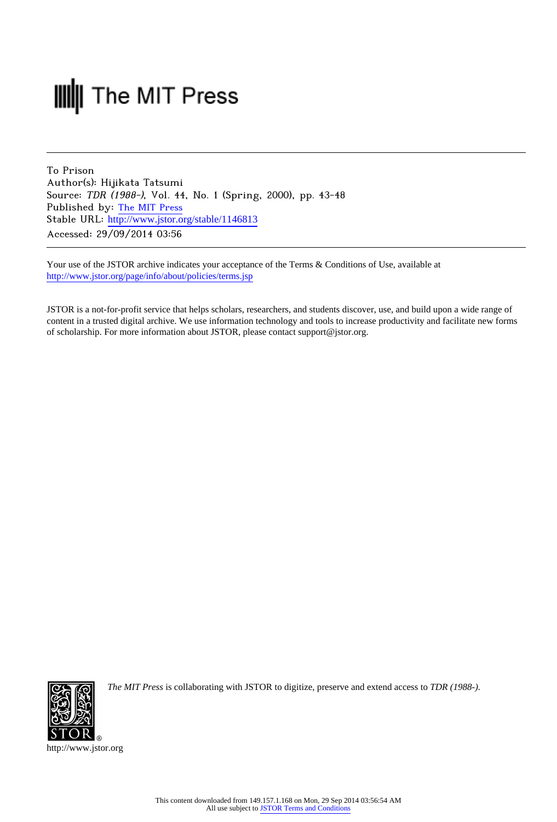## **III** The MIT Press

To Prison Author(s): Hijikata Tatsumi Source: TDR (1988-), Vol. 44, No. 1 (Spring, 2000), pp. 43-48 Published by: [The MIT Press](http://www.jstor.org/action/showPublisher?publisherCode=mitpress) Stable URL: [http://www.jstor.org/stable/1146813](http://www.jstor.org/stable/1146813?origin=JSTOR-pdf) Accessed: 29/09/2014 03:56

Your use of the JSTOR archive indicates your acceptance of the Terms & Conditions of Use, available at <http://www.jstor.org/page/info/about/policies/terms.jsp>

JSTOR is a not-for-profit service that helps scholars, researchers, and students discover, use, and build upon a wide range of content in a trusted digital archive. We use information technology and tools to increase productivity and facilitate new forms of scholarship. For more information about JSTOR, please contact support@jstor.org.



*The MIT Press* is collaborating with JSTOR to digitize, preserve and extend access to *TDR (1988-).*

http://www.jstor.org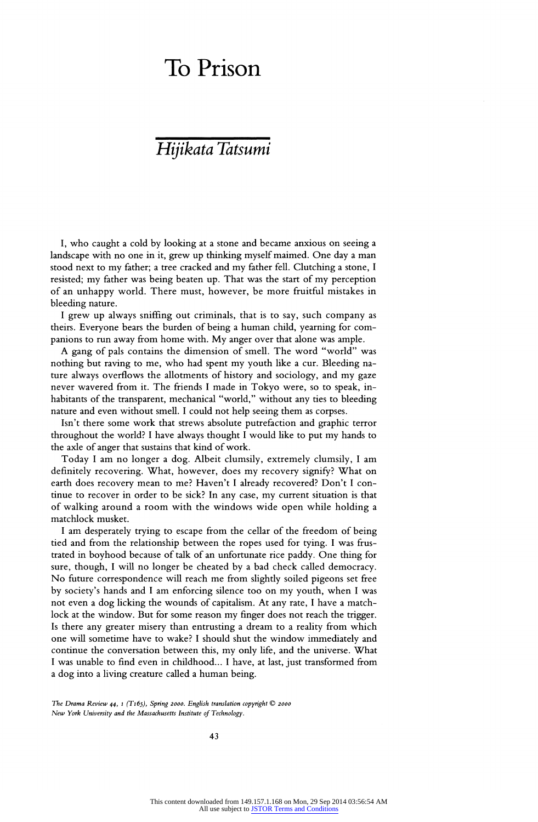## To Prison

## Hijikata Tatsumi

I, who caught a cold by looking at a stone and became anxious on seeing a landscape with no one in it, grew up thinking myself maimed. One day a man stood next to my father; a tree cracked and my father fell. Clutching a stone, I resisted; my father was being beaten up. That was the start of my perception of an unhappy world. There must, however, be more fruitful mistakes in bleeding nature.

I grew up always sniffing out criminals, that is to say, such company as theirs. Everyone bears the burden of being a human child, yearning for companions to run away from home with. My anger over that alone was ample.

A gang of pals contains the dimension of smell. The word "world" was nothing but raving to me, who had spent my youth like a cur. Bleeding nature always overflows the allotments of history and sociology, and my gaze never wavered from it. The friends I made in Tokyo were, so to speak, inhabitants of the transparent, mechanical "world," without any ties to bleeding nature and even without smell. I could not help seeing them as corpses.

Isn't there some work that strews absolute putrefaction and graphic terror throughout the world? I have always thought I would like to put my hands to the axle of anger that sustains that kind of work.

Today I am no longer a dog. Albeit clumsily, extremely clumsily, I am definitely recovering. What, however, does my recovery signify? What on earth does recovery mean to me? Haven't I already recovered? Don't I continue to recover in order to be sick? In any case, my current situation is that of walking around a room with the windows wide open while holding a matchlock musket.

I am desperately trying to escape from the cellar of the freedom of being tied and from the relationship between the ropes used for tying. I was frustrated in boyhood because of talk of an unfortunate rice paddy. One thing for sure, though, I will no longer be cheated by a bad check called democracy. No future correspondence will reach me from slightly soiled pigeons set free by society's hands and I am enforcing silence too on my youth, when I was not even a dog licking the wounds of capitalism. At any rate, I have a matchlock at the window. But for some reason my finger does not reach the trigger. Is there any greater misery than entrusting a dream to a reality from which one will sometime have to wake? I should shut the window immediately and continue the conversation between this, my only life, and the universe. What I was unable to find even in childhood... I have, at last, just transformed from a dog into a living creature called a human being.

The Drama Review 44, 1 (T165), Spring 2000. English translation copyright  $\heartsuit$  2000 New York University and the Massachusetts Institute of Technology.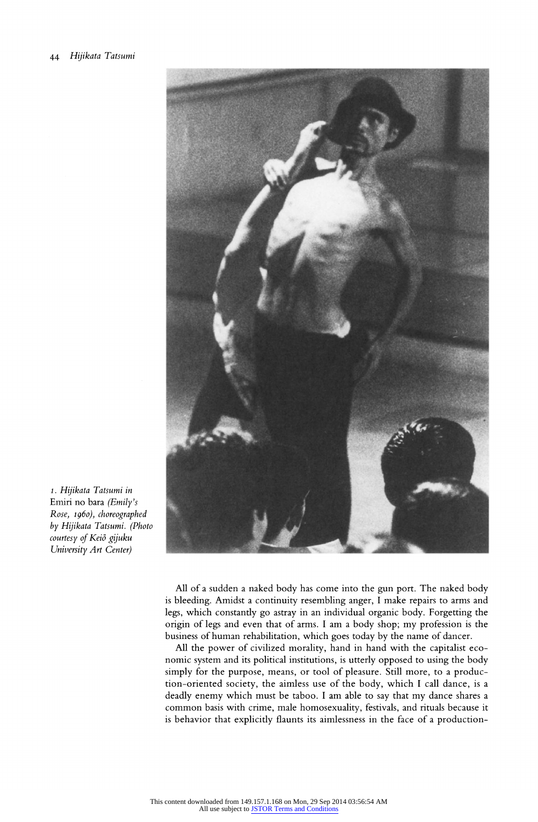

1. Hijikata Tatsumi in Emiri no bara (Emily's Rose, 196o), choreographed by Hijikata Tatsumi. (Photo courtesy of Keiō gijuku University Art Center)

All of a sudden a naked body has come into the gun port. The naked body is bleeding. Amidst a continuity resembling anger, I make repairs to arms and legs, which constantly go astray in an individual organic body. Forgetting the origin of legs and even that of arms. I am a body shop; my profession is the business of human rehabilitation, which goes today by the name of dancer.

All the power of civilized morality, hand in hand with the capitalist economic system and its political institutions, is utterly opposed to using the body simply for the purpose, means, or tool of pleasure. Still more, to a production-oriented society, the aimless use of the body, which I call dance, is a deadly enemy which must be taboo. I am able to say that my dance shares a common basis with crime, male homosexuality, festivals, and rituals because it is behavior that explicitly flaunts its aimlessness in the face of a production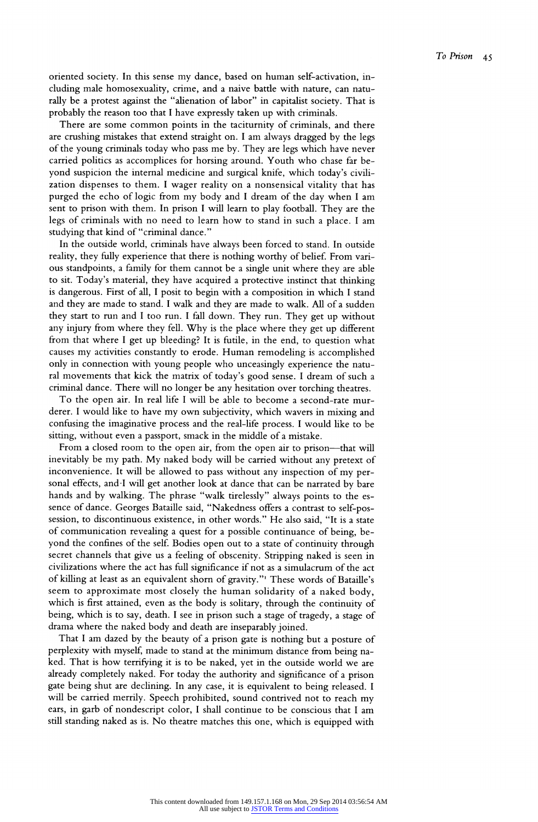oriented society. In this sense my dance, based on human self-activation, including male homosexuality, crime, and a naive battle with nature, can naturally be a protest against the "alienation of labor" in capitalist society. That is probably the reason too that I have expressly taken up with criminals.

There are some common points in the taciturnity of criminals, and there are crushing mistakes that extend straight on. I am always dragged by the legs of the young criminals today who pass me by. They are legs which have never carried politics as accomplices for horsing around. Youth who chase far beyond suspicion the internal medicine and surgical knife, which today's civilization dispenses to them. I wager reality on a nonsensical vitality that has purged the echo of logic from my body and I dream of the day when I am sent to prison with them. In prison I will learn to play football. They are the legs of criminals with no need to learn how to stand in such a place. I am studying that kind of "criminal dance."

In the outside world, criminals have always been forced to stand. In outside reality, they fully experience that there is nothing worthy of belief. From various standpoints, a family for them cannot be a single unit where they are able to sit. Today's material, they have acquired a protective instinct that thinking is dangerous. First of all, I posit to begin with a composition in which I stand and they are made to stand. I walk and they are made to walk. All of a sudden they start to run and I too run. I fall down. They run. They get up without any injury from where they fell. Why is the place where they get up different from that where I get up bleeding? It is futile, in the end, to question what causes my activities constantly to erode. Human remodeling is accomplished only in connection with young people who unceasingly experience the natural movements that kick the matrix of today's good sense. I dream of such a criminal dance. There will no longer be any hesitation over torching theatres.

To the open air. In real life I will be able to become a second-rate murderer. I would like to have my own subjectivity, which wavers in mixing and confusing the imaginative process and the real-life process. I would like to be sitting, without even a passport, smack in the middle of a mistake.

From a closed room to the open air, from the open air to prison-that will inevitably be my path. My naked body will be carried without any pretext of inconvenience. Itwill be allowed to pass without any inspection of my personal effects, and I will get another look at dance that can be narrated by bare hands and by walking. The phrase "walk tirelessly" always points to the essence of dance. Georges Bataille said, "Nakedness offers a contrast to self-possession, to discontinuous existence, in other words." He also said, "It is a state of communication revealing a quest for a possible continuance of being, beyond the confines of the self. Bodies open out to a state of continuity through secret channels that give us a feeling of obscenity. Stripping naked is seen in civilizations where the act has full significance if not as a simulacrum of the act of killing at least as an equivalent shorn of gravity."' These words of Bataille's seem to approximate most closely the human solidarity of a naked body, which is first attained, even as the body is solitary, through the continuity of being, which is to say, death. I see in prison such a stage of tragedy, a stage of drama where the naked body and death are inseparably joined.

That I am dazed by the beauty of a prison gate is nothing but a posture of perplexity with myself, made to stand at the minimum distance from being naked. That is how terrifying it is to be naked, yet in the outside world we are already completely naked. For today the authority and significance of a prison gate being shut are declining. In any case, it is equivalent to being released. I will be carried merrily. Speech prohibited, sound contrived not to reach my ears, in garb of nondescript color, I shall continue to be conscious that I am still standing naked as is. No theatre matches this one, which is equipped with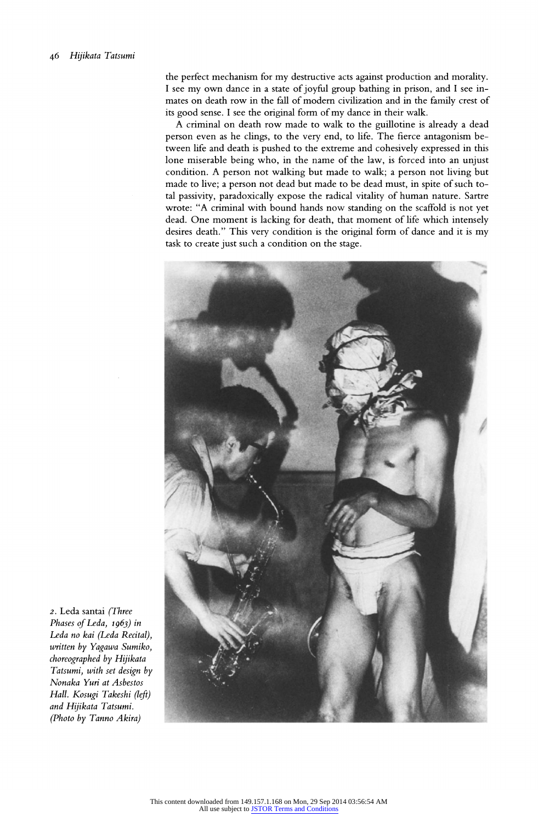the perfect mechanism for my destructive acts against production and morality. I see my own dance in a state of joyful group bathing in prison, and I see inmates on death row in the fall of modern civilization and in the family crest of its good sense. I see the original form of my dance in their walk.

A criminal on death row made to walk to the guillotine is already a dead person even as he clings, to the very end, to life. The fierce antagonism between life and death is pushed to the extreme and cohesively expressed in this lone miserable being who, in the name of the law, is forced into an unjust condition. A person not walking but made to walk; a person not living but made to live; a person not dead but made to be dead must, in spite of such total passivity, paradoxically expose the radical vitality of human nature. Sartre wrote: "A criminal with bound hands now standing on the scaffold is not yet dead. One moment is lacking for death, that moment of life which intensely desires death." This very condition is the original form of dance and it is my task to create just such a condition on the stage.



2. Leda santai (Three Phases of Leda, 1963) in Leda no kai (Leda Recital), written by Yagawa Sumiko, choreographed by Hijikata Tatsumi, with set design by Nonaka Yuri at Asbestos Hall. Kosugi Takeshi (left) and Hijikata Tatsumi. (Photo by Tanno Akira)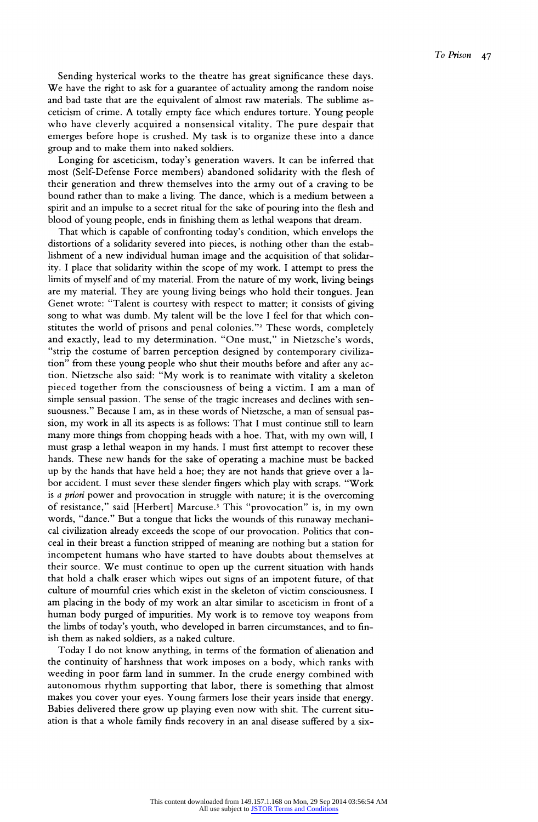Sending hysterical works to the theatre has great significance these days. We have the right to ask for a guarantee of actuality among the random noise and bad taste that are the equivalent of almost raw materials. The sublime asceticism of crime. A totally empty face which endures torture. Young people who have cleverly acquired a nonsensical vitality. The pure despair that emerges before hope is crushed. My task is to organize these into a dance group and to make them into naked soldiers.

Longing for asceticism, today's generation wavers. It can be inferred that most (Self-Defense Force members) abandoned solidarity with the flesh of their generation and threw themselves into the army out of a craving to be bound rather than to make a living. The dance, which is a medium between a spirit and an impulse to a secret ritual for the sake of pouring into the flesh and blood of young people, ends in finishing them as lethal weapons that dream.

That which is capable of confronting today's condition, which envelops the distortions of a solidarity severed into pieces, is nothing other than the establishment of a new individual human image and the acquisition of that solidarity. I place that solidarity within the scope of my work. I attempt to press the limits of myself and of my material. From the nature of my work, living beings are my material. They are young living beings who hold their tongues. Jean Genet wrote: "Talent is courtesy with respect to matter; it consists of giving song to what was dumb. My talent will be the love I feel for that which constitutes the world of prisons and penal colonies."<sup>2</sup> These words, completely and exactly, lead to my determination. "One must," in Nietzsche's words, "strip the costume of barren perception designed by contemporary civilization" from these young people who shut their mouths before and after any action. Nietzsche also said: "My work is to reanimate with vitality a skeleton pieced together from the consciousness of being a victim. I am a man of simple sensual passion. The sense of the tragic increases and declines with sensuousness." Because I am, as in these words of Nietzsche, a man of sensual passion, my work in all its aspects is as follows: That I must continue still to learn many more things from chopping heads with a hoe. That, with my own will, I must grasp a lethal weapon in my hands. I must first attempt to recover these hands. These new hands for the sake of operating a machine must be backed up by the hands that have held a hoe; they are not hands that grieve over a labor accident. I must sever these slender fingers which play with scraps. "Work is a priori power and provocation in struggle with nature; it is the overcoming of resistance," said [Herbert] Marcuse.3 This "provocation" is, in my own words, "dance." But a tongue that licks the wounds of this runaway mechanical civilization already exceeds the scope of our provocation. Politics that conceal in their breast afunction stripped of meaning are nothing but a station for incompetent humans who have started to have doubts about themselves at their source. We must continue to open up the current situation with hands that hold a chalk eraser which wipes out signs of an impotent future, of that culture of mournful cries which exist in the skeleton of victim consciousness. I am placing in the body of my work an altar similar to asceticism in front of a human body purged of impurities. My work is to remove toy weapons from the limbs of today's youth, who developed in barren circumstances, and to finish them as naked soldiers, as a naked culture.

Today I do not know anything, in terms of the formation of alienation and the continuity of harshness that work imposes on a body, which ranks with weeding in poor farm land in summer. In the crude energy combined with autonomous rhythm supporting that labor, there is something that almost makes you cover your eyes. Young farmers lose their years inside that energy. Babies delivered there grow up playing even now with shit. The current situation is that a whole family finds recovery in an anal disease suffered by a six